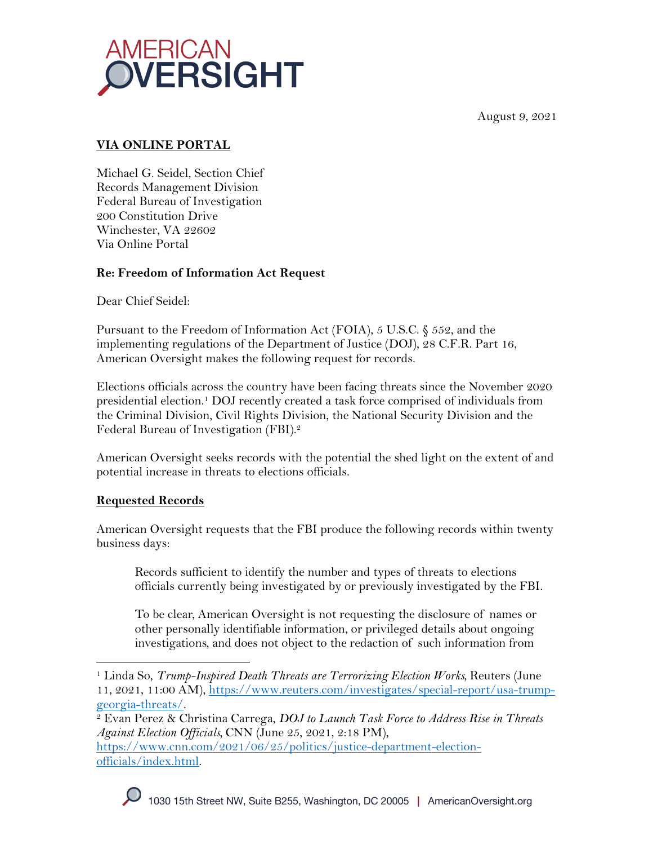August 9, 2021



# **VIA ONLINE PORTAL**

Michael G. Seidel, Section Chief Records Management Division Federal Bureau of Investigation 200 Constitution Drive Winchester, VA 22602 Via Online Portal

# **Re: Freedom of Information Act Request**

Dear Chief Seidel:

Pursuant to the Freedom of Information Act (FOIA), 5 U.S.C. § 552, and the implementing regulations of the Department of Justice (DOJ), 28 C.F.R. Part 16, American Oversight makes the following request for records.

Elections officials across the country have been facing threats since the November 2020 presidential election.1 DOJ recently created a task force comprised of individuals from the Criminal Division, Civil Rights Division, the National Security Division and the Federal Bureau of Investigation (FBI).2

American Oversight seeks records with the potential the shed light on the extent of and potential increase in threats to elections officials.

### **Requested Records**

American Oversight requests that the FBI produce the following records within twenty business days:

Records sufficient to identify the number and types of threats to elections officials currently being investigated by or previously investigated by the FBI.

To be clear, American Oversight is not requesting the disclosure of names or other personally identifiable information, or privileged details about ongoing investigations, and does not object to the redaction of such information from

<sup>&</sup>lt;sup>1</sup> Linda So, *Trump-Inspired Death Threats are Terrorizing Election Works*, Reuters (June 11, 2021, 11:00 AM), https://www.reuters.com/investigates/special-report/usa-trump-georgia-threats/.

<sup>&</sup>lt;sup>2</sup> Evan Perez & Christina Carrega, *DOJ to Launch Task Force to Address Rise in Threats Against Election Officials,* CNN (June 25, 2021, 2:18 PM), https://www.cnn.com/2021/06/25/politics/justice-department-electionofficials/index.html.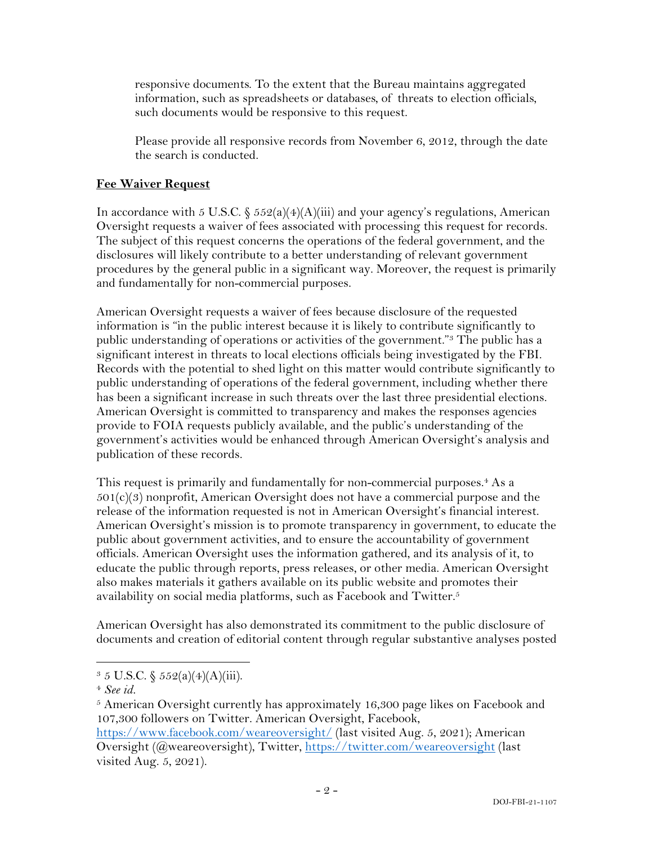responsive documents. To the extent that the Bureau maintains aggregated information, such as spreadsheets or databases, of threats to election officials, such documents would be responsive to this request.

Please provide all responsive records from November 6, 2012, through the date the search is conducted.

### **Fee Waiver Request**

In accordance with 5 U.S.C.  $\frac{552(a)(4)(A)(iii)}{3}$  and your agency's regulations, American Oversight requests a waiver of fees associated with processing this request for records. The subject of this request concerns the operations of the federal government, and the disclosures will likely contribute to a better understanding of relevant government procedures by the general public in a significant way. Moreover, the request is primarily and fundamentally for non-commercial purposes.

American Oversight requests a waiver of fees because disclosure of the requested information is "in the public interest because it is likely to contribute significantly to public understanding of operations or activities of the government."3 The public has a significant interest in threats to local elections officials being investigated by the FBI. Records with the potential to shed light on this matter would contribute significantly to public understanding of operations of the federal government, including whether there has been a significant increase in such threats over the last three presidential elections. American Oversight is committed to transparency and makes the responses agencies provide to FOIA requests publicly available, and the public's understanding of the government's activities would be enhanced through American Oversight's analysis and publication of these records.

This request is primarily and fundamentally for non-commercial purposes.<sup>4</sup> As a  $501(c)(3)$  nonprofit, American Oversight does not have a commercial purpose and the release of the information requested is not in American Oversight's financial interest. American Oversight's mission is to promote transparency in government, to educate the public about government activities, and to ensure the accountability of government officials. American Oversight uses the information gathered, and its analysis of it, to educate the public through reports, press releases, or other media. American Oversight also makes materials it gathers available on its public website and promotes their availability on social media platforms, such as Facebook and Twitter.<sup>5</sup>

American Oversight has also demonstrated its commitment to the public disclosure of documents and creation of editorial content through regular substantive analyses posted

 $3 \, 5 \,$  U.S.C.  $\frac{5 \, 5 \, 2(a)(4)(A)(iii)}{2a}$ .

<sup>4</sup> *See id.*

<sup>&</sup>lt;sup>5</sup> American Oversight currently has approximately 16,300 page likes on Facebook and 107,300 followers on Twitter. American Oversight, Facebook,

https://www.facebook.com/weareoversight/ (last visited Aug. 5, 2021); American Oversight (@weareoversight), Twitter, https://twitter.com/weareoversight (last visited Aug. 5, 2021).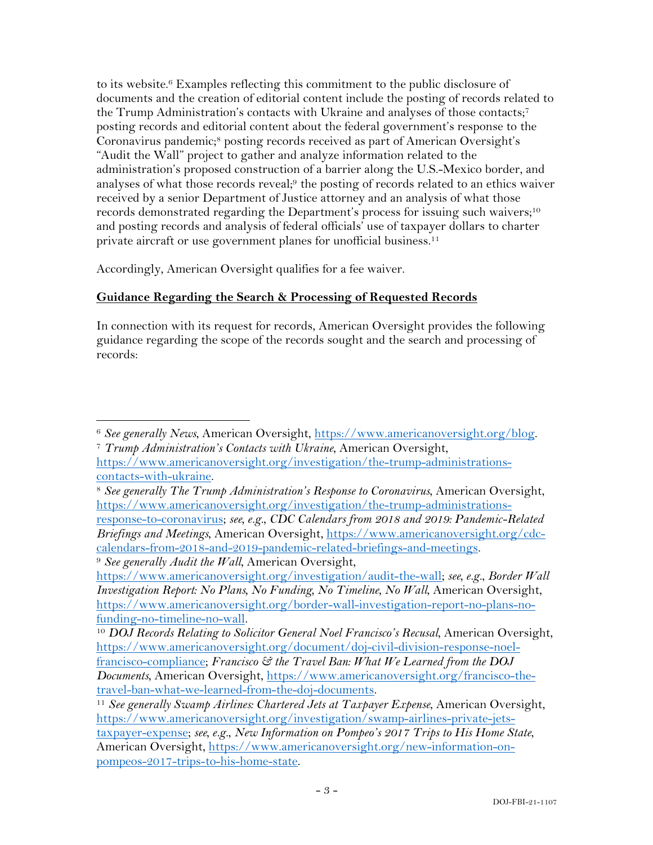to its website.6 Examples reflecting this commitment to the public disclosure of documents and the creation of editorial content include the posting of records related to the Trump Administration's contacts with Ukraine and analyses of those contacts;7 posting records and editorial content about the federal government's response to the Coronavirus pandemic;<sup>8</sup> posting records received as part of American Oversight's "Audit the Wall" project to gather and analyze information related to the administration's proposed construction of a barrier along the U.S.-Mexico border, and analyses of what those records reveal;<sup>9</sup> the posting of records related to an ethics waiver received by a senior Department of Justice attorney and an analysis of what those records demonstrated regarding the Department's process for issuing such waivers;<sup>10</sup> and posting records and analysis of federal officials' use of taxpayer dollars to charter private aircraft or use government planes for unofficial business. 11

Accordingly, American Oversight qualifies for a fee waiver.

# **Guidance Regarding the Search & Processing of Requested Records**

In connection with its request for records, American Oversight provides the following guidance regarding the scope of the records sought and the search and processing of records:

<sup>8</sup> *See generally The Trump Administration's Response to Coronavirus*, American Oversight, https://www.americanoversight.org/investigation/the-trump-administrationsresponse-to-coronavirus; *see, e.g.*, *CDC Calendars from 2018 and 2019: Pandemic-Related Briefings and Meetings*, American Oversight, https://www.americanoversight.org/cdccalendars-from-2018-and-2019-pandemic-related-briefings-and-meetings.

<sup>6</sup> *See generally News*, American Oversight, https://www.americanoversight.org/blog. 7 *Trump Administration's Contacts with Ukraine*, American Oversight,

https://www.americanoversight.org/investigation/the-trump-administrationscontacts-with-ukraine.

<sup>9</sup> *See generally Audit the Wall*, American Oversight,

https://www.americanoversight.org/investigation/audit-the-wall; *see, e.g.*, *Border Wall Investigation Report: No Plans, No Funding, No Timeline, No Wall*, American Oversight, https://www.americanoversight.org/border-wall-investigation-report-no-plans-nofunding-no-timeline-no-wall. 10 *DOJ Records Relating to Solicitor General Noel Francisco's Recusal*, American Oversight,

https://www.americanoversight.org/document/doj-civil-division-response-noelfrancisco-compliance; *Francisco & the Travel Ban: What We Learned from the DOJ Documents*, American Oversight, https://www.americanoversight.org/francisco-thetravel-ban-what-we-learned-from-the-doj-documents.

<sup>&</sup>lt;sup>11</sup> See generally Swamp Airlines: Chartered Jets at Taxpayer Expense, American Oversight, https://www.americanoversight.org/investigation/swamp-airlines-private-jetstaxpayer-expense; *see, e.g.*, *New Information on Pompeo's 2017 Trips to His Home State*, American Oversight, https://www.americanoversight.org/new-information-onpompeos-2017-trips-to-his-home-state.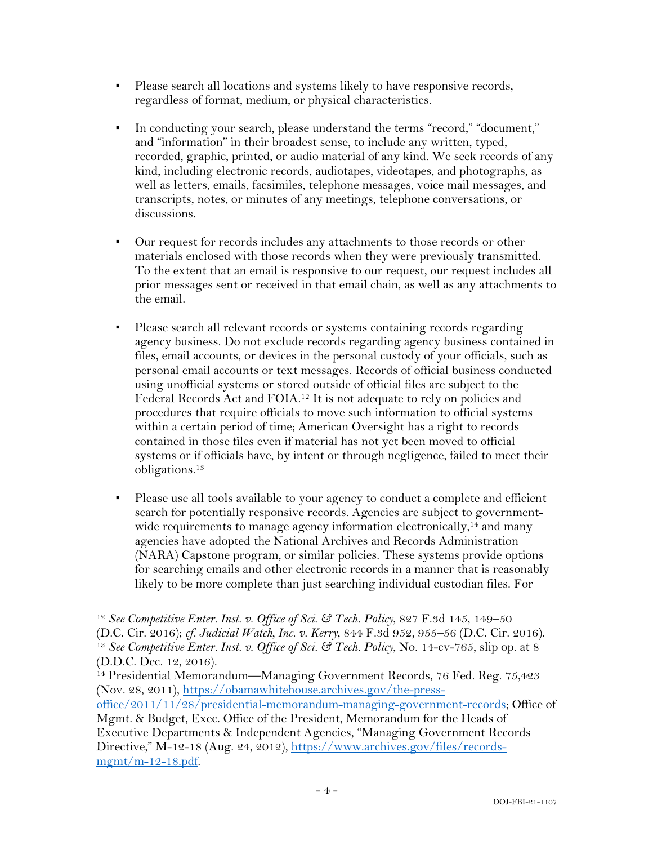- Please search all locations and systems likely to have responsive records, regardless of format, medium, or physical characteristics.
- In conducting your search, please understand the terms "record," "document," and "information" in their broadest sense, to include any written, typed, recorded, graphic, printed, or audio material of any kind. We seek records of any kind, including electronic records, audiotapes, videotapes, and photographs, as well as letters, emails, facsimiles, telephone messages, voice mail messages, and transcripts, notes, or minutes of any meetings, telephone conversations, or discussions.
- Our request for records includes any attachments to those records or other materials enclosed with those records when they were previously transmitted. To the extent that an email is responsive to our request, our request includes all prior messages sent or received in that email chain, as well as any attachments to the email.
- Please search all relevant records or systems containing records regarding agency business. Do not exclude records regarding agency business contained in files, email accounts, or devices in the personal custody of your officials, such as personal email accounts or text messages. Records of official business conducted using unofficial systems or stored outside of official files are subject to the Federal Records Act and FOIA.12 It is not adequate to rely on policies and procedures that require officials to move such information to official systems within a certain period of time; American Oversight has a right to records contained in those files even if material has not yet been moved to official systems or if officials have, by intent or through negligence, failed to meet their obligations.13
- Please use all tools available to your agency to conduct a complete and efficient search for potentially responsive records. Agencies are subject to governmentwide requirements to manage agency information electronically,<sup>14</sup> and many agencies have adopted the National Archives and Records Administration (NARA) Capstone program, or similar policies. These systems provide options for searching emails and other electronic records in a manner that is reasonably likely to be more complete than just searching individual custodian files. For

<sup>12</sup> *See Competitive Enter. Inst. v. Office of Sci. & Tech. Policy*, 827 F.3d 145, 149–50 (D.C. Cir. 2016); *cf. Judicial Watch, Inc. v. Kerry*, 844 F.3d 952, 955–56 (D.C. Cir. 2016). 13 *See Competitive Enter. Inst. v. Office of Sci. & Tech. Policy*, No. 14-cv-765, slip op. at 8 (D.D.C. Dec. 12, 2016).

<sup>&</sup>lt;sup>14</sup> Presidential Memorandum—Managing Government Records, 76 Fed. Reg. 75,423 (Nov. 28, 2011), https://obamawhitehouse.archives.gov/the-press-

office/2011/11/28/presidential-memorandum-managing-government-records; Office of Mgmt. & Budget, Exec. Office of the President, Memorandum for the Heads of

Executive Departments & Independent Agencies, "Managing Government Records Directive," M-12-18 (Aug. 24, 2012), https://www.archives.gov/files/records $m$ gmt/m-12-18.pdf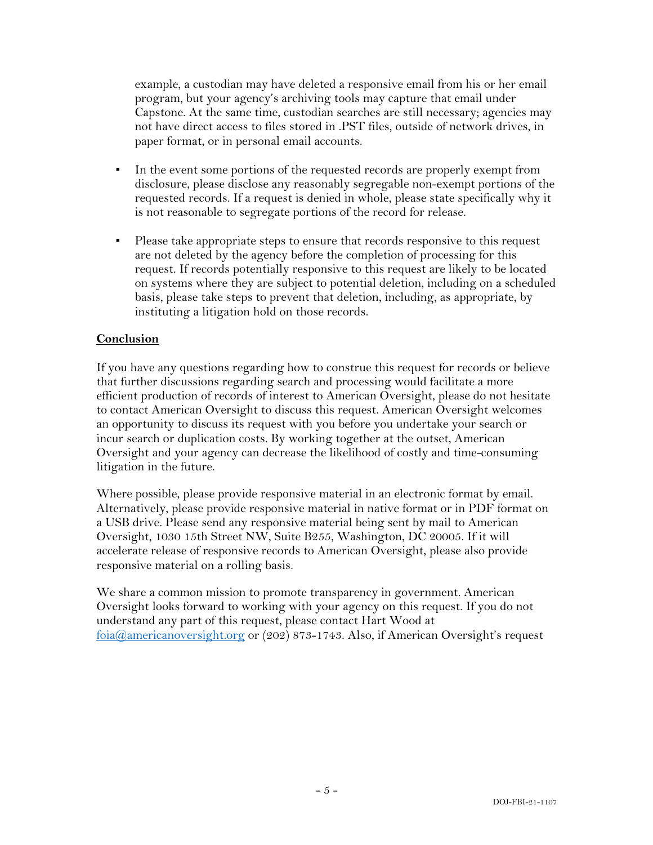example, a custodian may have deleted a responsive email from his or her email program, but your agency's archiving tools may capture that email under Capstone. At the same time, custodian searches are still necessary; agencies may not have direct access to files stored in .PST files, outside of network drives, in paper format, or in personal email accounts.

- In the event some portions of the requested records are properly exempt from disclosure, please disclose any reasonably segregable non-exempt portions of the requested records. If a request is denied in whole, please state specifically why it is not reasonable to segregate portions of the record for release.
- Please take appropriate steps to ensure that records responsive to this request are not deleted by the agency before the completion of processing for this request. If records potentially responsive to this request are likely to be located on systems where they are subject to potential deletion, including on a scheduled basis, please take steps to prevent that deletion, including, as appropriate, by instituting a litigation hold on those records.

#### **Conclusion**

If you have any questions regarding how to construe this request for records or believe that further discussions regarding search and processing would facilitate a more efficient production of records of interest to American Oversight, please do not hesitate to contact American Oversight to discuss this request. American Oversight welcomes an opportunity to discuss its request with you before you undertake your search or incur search or duplication costs. By working together at the outset, American Oversight and your agency can decrease the likelihood of costly and time-consuming litigation in the future.

Where possible, please provide responsive material in an electronic format by email. Alternatively, please provide responsive material in native format or in PDF format on a USB drive. Please send any responsive material being sent by mail to American Oversight, 1030 15th Street NW, Suite B255, Washington, DC 20005. If it will accelerate release of responsive records to American Oversight, please also provide responsive material on a rolling basis.

We share a common mission to promote transparency in government. American Oversight looks forward to working with your agency on this request. If you do not understand any part of this request, please contact Hart Wood at foia@americanoversight.org or (202) 873-1743. Also, if American Oversight's request